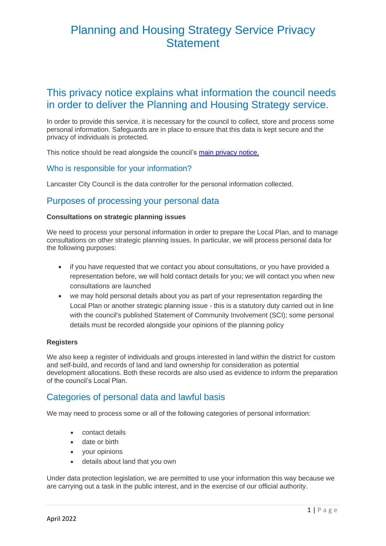# Planning and Housing Strategy Service Privacy **Statement**

## This privacy notice explains what information the council needs in order to deliver the Planning and Housing Strategy service.

In order to provide this service, it is necessary for the council to collect, store and process some personal information. Safeguards are in place to ensure that this data is kept secure and the privacy of individuals is protected.

This notice should be read alongside the council's [main privacy notice.](https://www.lancaster.gov.uk/information/data-protection)

#### Who is responsible for your information?

Lancaster City Council is the data controller for the personal information collected.

### Purposes of processing your personal data

#### **Consultations on strategic planning issues**

We need to process your personal information in order to prepare the Local Plan, and to manage consultations on other strategic planning issues. In particular, we will process personal data for the following purposes:

- if you have requested that we contact you about consultations, or you have provided a representation before, we will hold contact details for you; we will contact you when new consultations are launched
- we may hold personal details about you as part of your representation regarding the Local Plan or another strategic planning issue - this is a statutory duty carried out in line with the council's published Statement of Community Involvement (SCI); some personal details must be recorded alongside your opinions of the planning policy

#### **Registers**

We also keep a register of individuals and groups interested in land within the district for custom and self-build, and records of land and land ownership for consideration as potential development allocations. Both these records are also used as evidence to inform the preparation of the council's Local Plan.

### Categories of personal data and lawful basis

We may need to process some or all of the following categories of personal information:

- contact details
- date or birth
- your opinions
- details about land that you own

Under data protection legislation, we are permitted to use your information this way because we are carrying out a task in the public interest, and in the exercise of our official authority.